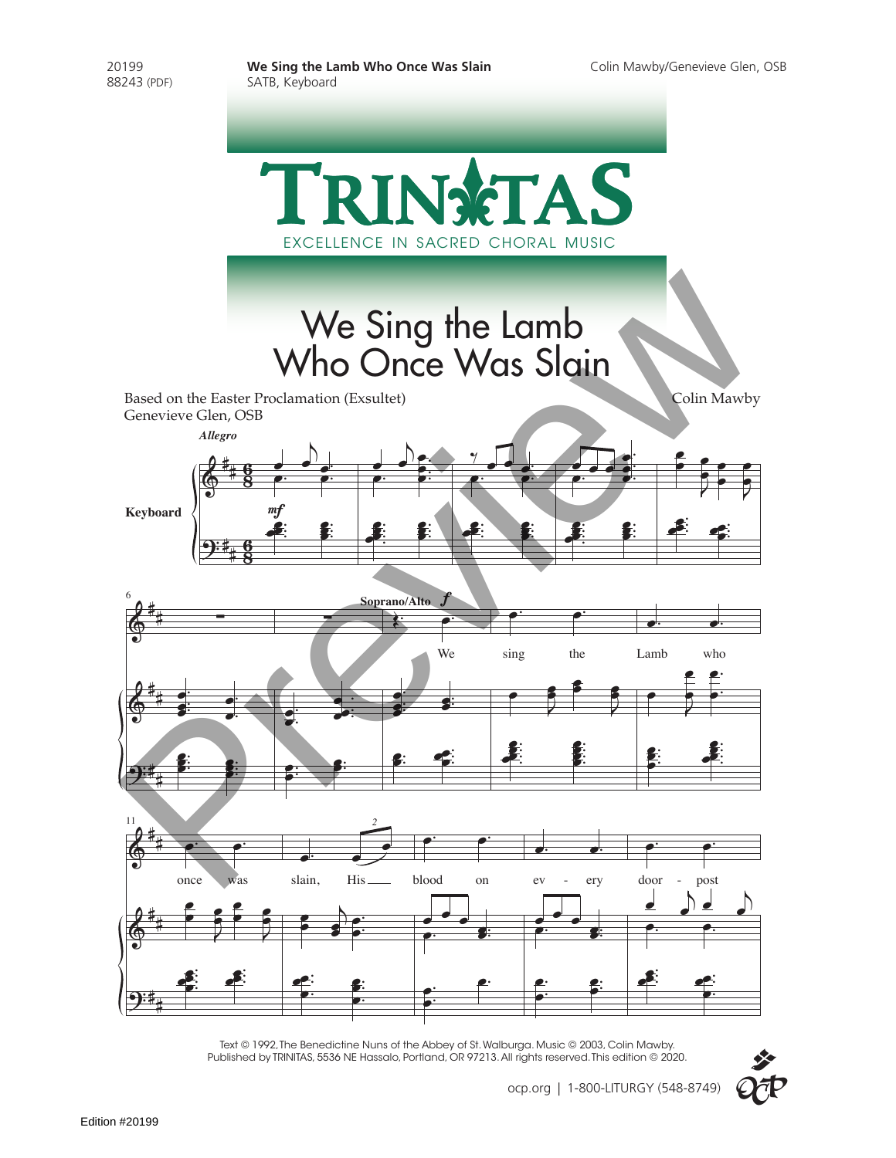

Text © 1992, The Benedictine Nuns of the Abbey of St. Walburga. Music © 2003, Colin Mawby. Published by TRINITAS, 5536 NE Hassalo, Portland, OR 97213. All rights reserved. This edition © 2020.

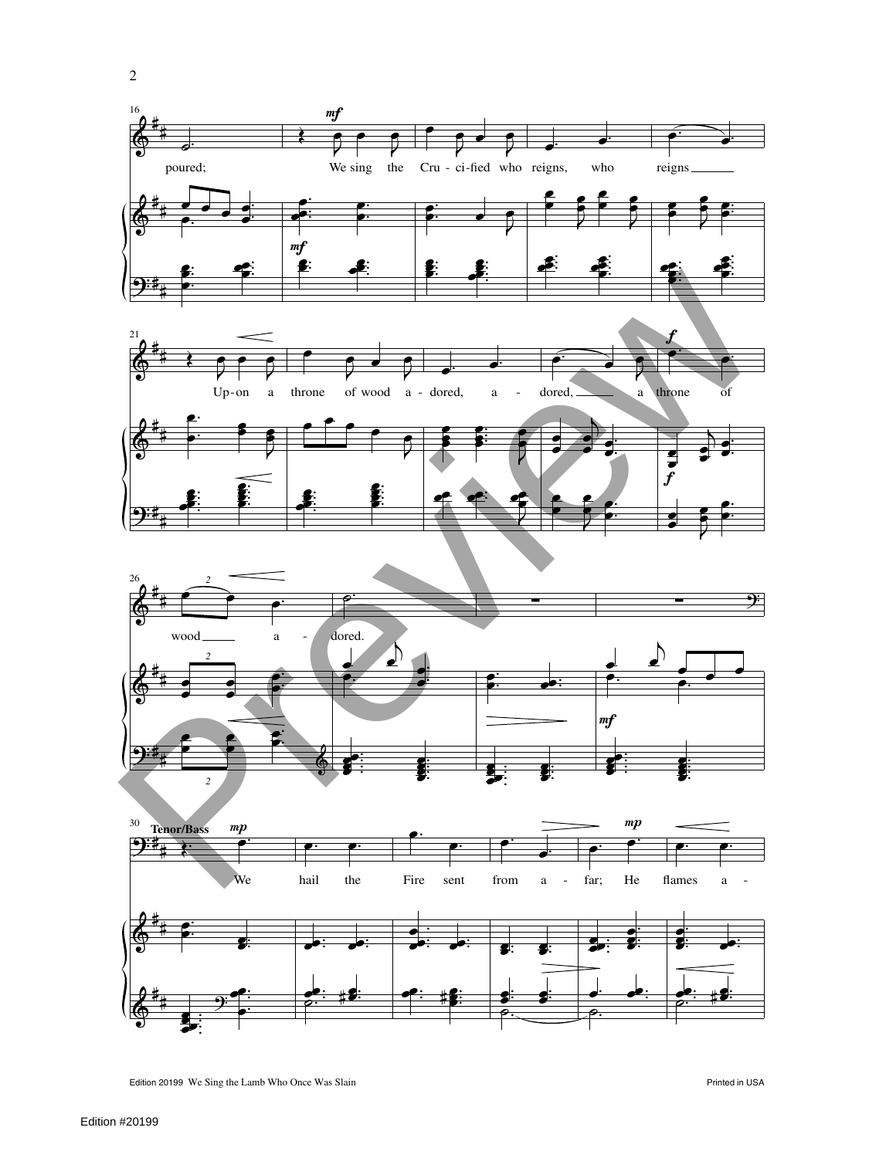



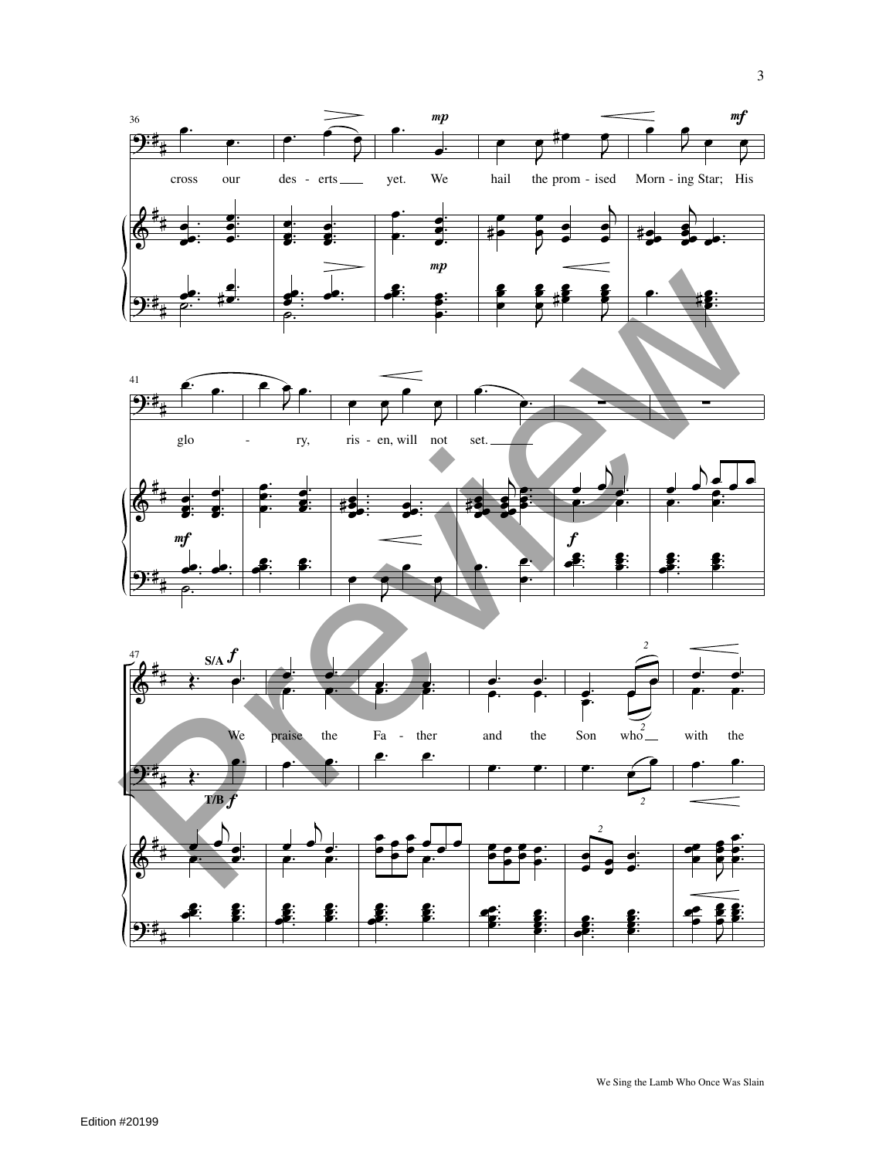

We Sing the Lamb Who Once Was Slain

 $\overline{3}$